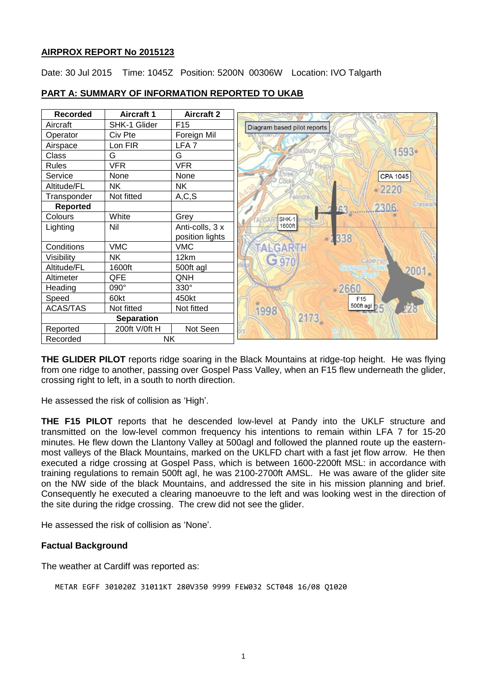# **AIRPROX REPORT No 2015123**

Date: 30 Jul 2015 Time: 1045Z Position: 5200N 00306W Location: IVO Talgarth

| <b>Recorded</b>       | <b>Aircraft 1</b> | <b>Aircraft 2</b> |                               |
|-----------------------|-------------------|-------------------|-------------------------------|
| Aircraft              | SHK-1 Glider      | F <sub>15</sub>   | Diagram based pilot reports   |
| Operator              | Civ Pte           | Foreign Mil       |                               |
| Airspace              | Lon FIR           | LFA <sub>7</sub>  | asbury                        |
| Class                 | G                 | G                 | 1593•                         |
| <b>Rules</b>          | <b>VFR</b>        | <b>VFR</b>        |                               |
| Service               | None              | None              | CPA 1045                      |
| Altitude/FL           | <b>NK</b>         | <b>NK</b>         | $-2220$                       |
| Transponder           | Not fitted        | A, C, S           | Felindre                      |
| <b>Reported</b>       |                   |                   | Craswall<br>230.6<br>63       |
| Colours               | White             | Grey              | $SHK-1$<br><b>ALGAR</b>       |
| Lighting              | Nil               | Anti-colls, 3 x   | 1600ft                        |
|                       |                   | position lights   | 338                           |
| Conditions            | <b>VMC</b>        | <b>VMC</b>        | FALGARTH                      |
| Visibility            | NΚ                | 12km              | G.970<br>Capel <sup>-</sup> y |
| Altitude/FL           | 1600ft            | 500ft agl         | 2001.                         |
| Altimeter             | QFE               | QNH               |                               |
| Heading               | $090^\circ$       | 330°              | -2660                         |
| Speed                 | 60kt              | 450kt             | F15                           |
| ACAS/TAS              | Not fitted        | Not fitted        | 500ft agl<br>1998             |
| <b>Separation</b>     |                   |                   | 2173                          |
| Reported              | 200ft V/0ft H     | Not Seen          |                               |
| <b>NK</b><br>Recorded |                   |                   |                               |

# **PART A: SUMMARY OF INFORMATION REPORTED TO UKAB**

**THE GLIDER PILOT** reports ridge soaring in the Black Mountains at ridge-top height. He was flying from one ridge to another, passing over Gospel Pass Valley, when an F15 flew underneath the glider, crossing right to left, in a south to north direction.

He assessed the risk of collision as 'High'.

**THE F15 PILOT** reports that he descended low-level at Pandy into the UKLF structure and transmitted on the low-level common frequency his intentions to remain within LFA 7 for 15-20 minutes. He flew down the Llantony Valley at 500agl and followed the planned route up the easternmost valleys of the Black Mountains, marked on the UKLFD chart with a fast jet flow arrow. He then executed a ridge crossing at Gospel Pass, which is between 1600-2200ft MSL: in accordance with training regulations to remain 500ft agl, he was 2100-2700ft AMSL. He was aware of the glider site on the NW side of the black Mountains, and addressed the site in his mission planning and brief. Consequently he executed a clearing manoeuvre to the left and was looking west in the direction of the site during the ridge crossing. The crew did not see the glider.

He assessed the risk of collision as 'None'.

#### **Factual Background**

The weather at Cardiff was reported as:

```
METAR EGFF 301020Z 31011KT 280V350 9999 FEW032 SCT048 16/08 Q1020
```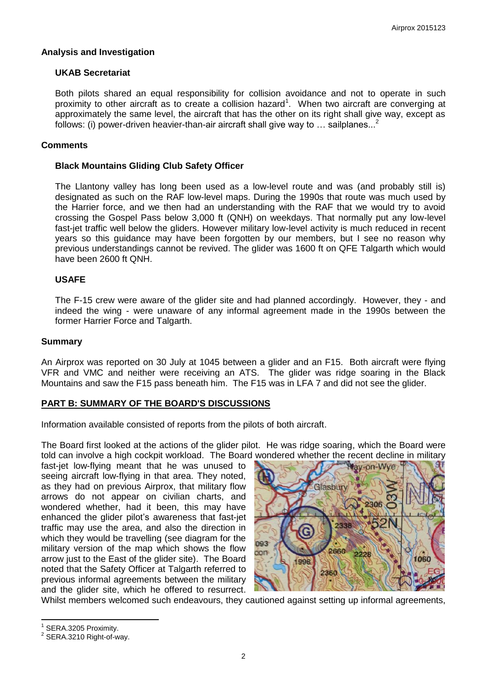## **Analysis and Investigation**

## **UKAB Secretariat**

Both pilots shared an equal responsibility for collision avoidance and not to operate in such proximity to other aircraft as to create a collision hazard<sup>1</sup>. When two aircraft are converging at approximately the same level, the aircraft that has the other on its right shall give way, except as follows: (i) power-driven heavier-than-air aircraft shall give way to  $\ldots$  sailplanes...<sup>2</sup>

#### **Comments**

## **Black Mountains Gliding Club Safety Officer**

The Llantony valley has long been used as a low-level route and was (and probably still is) designated as such on the RAF low-level maps. During the 1990s that route was much used by the Harrier force, and we then had an understanding with the RAF that we would try to avoid crossing the Gospel Pass below 3,000 ft (QNH) on weekdays. That normally put any low-level fast-jet traffic well below the gliders. However military low-level activity is much reduced in recent years so this guidance may have been forgotten by our members, but I see no reason why previous understandings cannot be revived. The glider was 1600 ft on QFE Talgarth which would have been 2600 ft QNH.

## **USAFE**

The F-15 crew were aware of the glider site and had planned accordingly. However, they - and indeed the wing - were unaware of any informal agreement made in the 1990s between the former Harrier Force and Talgarth.

#### **Summary**

An Airprox was reported on 30 July at 1045 between a glider and an F15. Both aircraft were flying VFR and VMC and neither were receiving an ATS. The glider was ridge soaring in the Black Mountains and saw the F15 pass beneath him. The F15 was in LFA 7 and did not see the glider.

# **PART B: SUMMARY OF THE BOARD'S DISCUSSIONS**

Information available consisted of reports from the pilots of both aircraft.

The Board first looked at the actions of the glider pilot. He was ridge soaring, which the Board were told can involve a high cockpit workload. The Board wondered whether the recent decline in military

fast-jet low-flying meant that he was unused to seeing aircraft low-flying in that area. They noted, as they had on previous Airprox, that military flow arrows do not appear on civilian charts, and wondered whether, had it been, this may have enhanced the glider pilot's awareness that fast-jet traffic may use the area, and also the direction in which they would be travelling (see diagram for the military version of the map which shows the flow arrow just to the East of the glider site). The Board noted that the Safety Officer at Talgarth referred to previous informal agreements between the military and the glider site, which he offered to resurrect.



Whilst members welcomed such endeavours, they cautioned against setting up informal agreements,

 $\overline{\phantom{a}}$ 

<sup>1</sup> SERA.3205 Proximity.

 $2$  SERA.3210 Right-of-way.